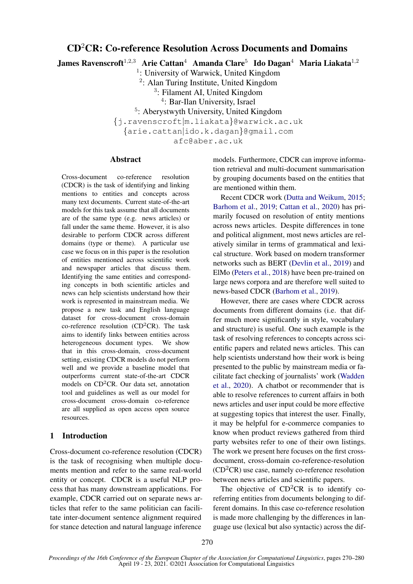# CD<sup>2</sup>CR: Co-reference Resolution Across Documents and Domains

James Ravenscroft $^{1,2,3}$  Arie Cattan $^4$  Amanda Clare $^5\,$  Ido Dagan $^4\,$  Maria Liakata $^{1,2}$ 

<sup>1</sup>: University of Warwick, United Kingdom

<sup>2</sup>: Alan Turing Institute, United Kingdom

<sup>3</sup>: Filament AI, United Kingdom

4 : Bar-Ilan University, Israel

<sup>5</sup>: Aberystwyth University, United Kingdom

{j.ravenscroft|m.liakata}@warwick.ac.uk

{arie.cattan|ido.k.dagan}@gmail.com

afc@aber.ac.uk

# **Abstract**

Cross-document co-reference resolution (CDCR) is the task of identifying and linking mentions to entities and concepts across many text documents. Current state-of-the-art models for this task assume that all documents are of the same type (e.g. news articles) or fall under the same theme. However, it is also desirable to perform CDCR across different domains (type or theme). A particular use case we focus on in this paper is the resolution of entities mentioned across scientific work and newspaper articles that discuss them. Identifying the same entities and corresponding concepts in both scientific articles and news can help scientists understand how their work is represented in mainstream media. We propose a new task and English language dataset for cross-document cross-domain co-reference resolution ( $CD<sup>2</sup>CR$ ). The task aims to identify links between entities across heterogeneous document types. We show that in this cross-domain, cross-document setting, existing CDCR models do not perform well and we provide a baseline model that outperforms current state-of-the-art CDCR models on  $CD<sup>2</sup>CR$ . Our data set, annotation tool and guidelines as well as our model for cross-document cross-domain co-reference are all supplied as open access open source resources.

# 1 Introduction

Cross-document co-reference resolution (CDCR) is the task of recognising when multiple documents mention and refer to the same real-world entity or concept. CDCR is a useful NLP process that has many downstream applications. For example, CDCR carried out on separate news articles that refer to the same politician can facilitate inter-document sentence alignment required for stance detection and natural language inference

models. Furthermore, CDCR can improve information retrieval and multi-document summarisation by grouping documents based on the entities that are mentioned within them.

Recent CDCR work [\(Dutta and Weikum,](#page-9-0) [2015;](#page-9-0) [Barhom et al.,](#page-9-1) [2019;](#page-9-1) [Cattan et al.,](#page-9-2) [2020\)](#page-9-2) has primarily focused on resolution of entity mentions across news articles. Despite differences in tone and political alignment, most news articles are relatively similar in terms of grammatical and lexical structure. Work based on modern transformer networks such as BERT [\(Devlin et al.,](#page-9-3) [2019\)](#page-9-3) and ElMo [\(Peters et al.,](#page-10-0) [2018\)](#page-10-0) have been pre-trained on large news corpora and are therefore well suited to news-based CDCR [\(Barhom et al.,](#page-9-1) [2019\)](#page-9-1).

However, there are cases where CDCR across documents from different domains (i.e. that differ much more significantly in style, vocabulary and structure) is useful. One such example is the task of resolving references to concepts across scientific papers and related news articles. This can help scientists understand how their work is being presented to the public by mainstream media or facilitate fact checking of journalists' work [\(Wadden](#page-10-1) [et al.,](#page-10-1) [2020\)](#page-10-1). A chatbot or recommender that is able to resolve references to current affairs in both news articles and user input could be more effective at suggesting topics that interest the user. Finally, it may be helpful for e-commerce companies to know when product reviews gathered from third party websites refer to one of their own listings. The work we present here focuses on the first crossdocument, cross-domain co-reference-resolution  $(CD<sup>2</sup>CR)$  use case, namely co-reference resolution between news articles and scientific papers.

The objective of  $CD<sup>2</sup>CR$  is to identify coreferring entities from documents belonging to different domains. In this case co-reference resolution is made more challenging by the differences in language use (lexical but also syntactic) across the dif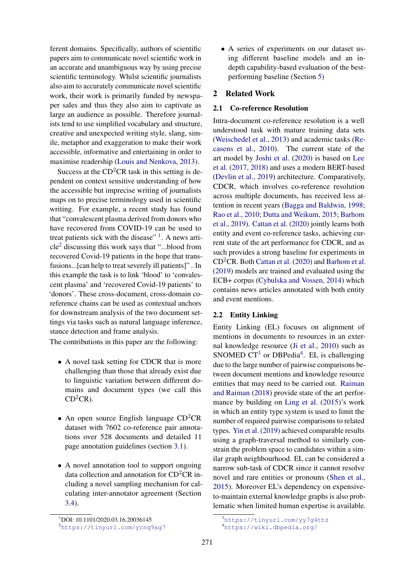ferent domains. Specifically, authors of scientific papers aim to communicate novel scientific work in an accurate and unambiguous way by using precise scientific terminology. Whilst scientific journalists also aim to accurately communicate novel scientific work, their work is primarily funded by newspaper sales and thus they also aim to captivate as large an audience as possible. Therefore journalists tend to use simplified vocabulary and structure, creative and unexpected writing style, slang, simile, metaphor and exaggeration to make their work accessible, informative and entertaining in order to maximise readership [\(Louis and Nenkova,](#page-10-2) [2013\)](#page-10-2).

Success at the  $CD<sup>2</sup>CR$  task in this setting is dependent on context sensitive understanding of how the accessible but imprecise writing of journalists maps on to precise terminology used in scientific writing. For example, a recent study has found that "convalescent plasma derived from donors who have recovered from COVID-19 can be used to treat patients sick with the disease"  $<sup>1</sup>$  $<sup>1</sup>$  $<sup>1</sup>$ . A news arti-</sup>  $cle<sup>2</sup>$  $cle<sup>2</sup>$  $cle<sup>2</sup>$  discussing this work says that "...blood from recovered Covid-19 patients in the hope that transfusions...[can help to treat severely ill patients]" . In this example the task is to link 'blood' to 'convalescent plasma' and 'recovered Covid-19 patients' to 'donors'. These cross-document, cross-domain coreference chains can be used as contextual anchors for downstream analysis of the two document settings via tasks such as natural language inference, stance detection and frame analysis.

The contributions in this paper are the following:

- A novel task setting for CDCR that is more challenging than those that already exist due to linguistic variation between different domains and document types (we call this  $CD<sup>2</sup>CR$ ).
- An open source English language  $CD<sup>2</sup>CR$ dataset with 7602 co-reference pair annotations over 528 documents and detailed 11 page annotation guidelines (section [3.1\)](#page-2-0).
- A novel annotation tool to support ongoing data collection and annotation for  $CD<sup>2</sup>CR$  including a novel sampling mechanism for calculating inter-annotator agreement (Section [3.4\)](#page-3-0).

• A series of experiments on our dataset using different baseline models and an indepth capability-based evaluation of the bestperforming baseline (Section [5\)](#page-6-0)

# 2 Related Work

## 2.1 Co-reference Resolution

Intra-document co-reference resolution is a well understood task with mature training data sets [\(Weischedel et al.,](#page-10-3) [2013\)](#page-10-3) and academic tasks [\(Re](#page-10-4)[casens et al.,](#page-10-4) [2010\)](#page-10-4). The current state of the art model by [Joshi et al.](#page-9-4) [\(2020\)](#page-9-4) is based on [Lee](#page-9-5) [et al.](#page-9-5) [\(2017,](#page-9-5) [2018\)](#page-9-6) and uses a modern BERT-based [\(Devlin et al.,](#page-9-3) [2019\)](#page-9-3) architecture. Comparatively, CDCR, which involves co-reference resolution across multiple documents, has received less attention in recent years [\(Bagga and Baldwin,](#page-9-7) [1998;](#page-9-7) [Rao et al.,](#page-10-5) [2010;](#page-10-5) [Dutta and Weikum,](#page-9-0) [2015;](#page-9-0) [Barhom](#page-9-1) [et al.,](#page-9-1) [2019\)](#page-9-1). [Cattan et al.](#page-9-2) [\(2020\)](#page-9-2) jointly learns both entity and event co-reference tasks, achieving current state of the art performance for CDCR, and as such provides a strong baseline for experiments in CD<sup>2</sup>CR. Both [Cattan et al.](#page-9-2) [\(2020\)](#page-9-2) and [Barhom et al.](#page-9-1) [\(2019\)](#page-9-1) models are trained and evaluated using the ECB+ corpus [\(Cybulska and Vossen,](#page-9-8) [2014\)](#page-9-8) which contains news articles annotated with both entity and event mentions.

# 2.2 Entity Linking

Entity Linking (EL) focuses on alignment of mentions in documents to resources in an external knowledge resource [\(Ji et al.,](#page-9-9) [2010\)](#page-9-9) such as SNOMED  $CT^3$  $CT^3$  or DBPedia<sup>[4](#page-1-3)</sup>. EL is challenging due to the large number of pairwise comparisons between document mentions and knowledge resource entities that may need to be carried out. [Raiman](#page-10-6) [and Raiman](#page-10-6) [\(2018\)](#page-10-6) provide state of the art performance by building on [Ling et al.](#page-9-10) [\(2015\)](#page-9-10)'s work in which an entity type system is used to limit the number of required pairwise comparisons to related types. [Yin et al.](#page-10-7) [\(2019\)](#page-10-7) achieved comparable results using a graph-traversal method to similarly constrain the problem space to candidates within a similar graph neighbourhood. EL can be considered a narrow sub-task of CDCR since it cannot resolve novel and rare entities or pronouns [\(Shen et al.,](#page-10-8) [2015\)](#page-10-8). Moreover EL's dependency on expensiveto-maintain external knowledge graphs is also problematic when limited human expertise is available.

<span id="page-1-0"></span><sup>1</sup>DOI: 10.1101/2020.03.16.20036145

<span id="page-1-1"></span><sup>2</sup><https://tinyurl.com/ycnq9xg7>

<span id="page-1-2"></span><sup>3</sup><https://tinyurl.com/yy7g4ttz>

<span id="page-1-3"></span><sup>4</sup><https://wiki.dbpedia.org/>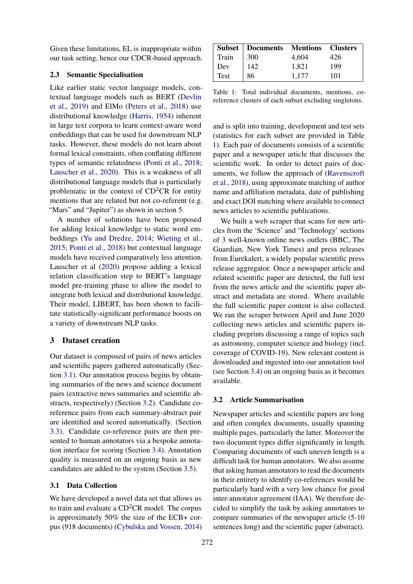Given these limitations, EL is inappropriate within our task setting, hence our CDCR-based approach.

## <span id="page-2-3"></span>2.3 Semantic Specialisation

Like earlier static vector language models, contextual language models such as BERT [\(Devlin](#page-9-3) [et al.,](#page-9-3) [2019\)](#page-9-3) and ElMo [\(Peters et al.,](#page-10-0) [2018\)](#page-10-0) use distributional knowledge [\(Harris,](#page-9-11) [1954\)](#page-9-11) inherent in large text corpora to learn context-aware word embeddings that can be used for downstream NLP tasks. However, these models do not learn about formal lexical constraints, often conflating different types of semantic relatedness [\(Ponti et al.,](#page-10-9) [2018;](#page-10-9) [Lauscher et al.,](#page-9-12) [2020\)](#page-9-12). This is a weakness of all distributional language models that is particularly problematic in the context of CD<sup>2</sup>CR for entity mentions that are related but not co-referent (e.g. "Mars" and "Jupiter" as shown in section [5.](#page-6-0)

A number of solutions have been proposed for adding lexical knowledge to static word embeddings [\(Yu and Dredze,](#page-10-10) [2014;](#page-10-10) [Wieting et al.,](#page-10-11) [2015;](#page-10-11) [Ponti et al.,](#page-10-9) [2018\)](#page-10-9) but contextual language models have received comparatively less attention. Lauscher et al [\(2020\)](#page-9-12) propose adding a lexical relation classification step to BERT's language model pre-training phase to allow the model to integrate both lexical and distributional knowledge. Their model, LIBERT, has been shown to facilitate statistically-significant performance boosts on a variety of downstream NLP tasks.

## 3 Dataset creation

Our dataset is composed of pairs of news articles and scientific papers gathered automatically (Section [3.1\)](#page-2-0). Our annotation process begins by obtaining summaries of the news and science document pairs (extractive news summaries and scientific abstracts, respectively) (Section [3.2\)](#page-2-1). Candidate coreference pairs from each summary-abstract pair are identified and scored automatically. (Section [3.3\)](#page-3-1). Candidate co-reference pairs are then presented to human annotators via a bespoke annotation interface for scoring (Section [3.4\)](#page-3-0). Annotation quality is measured on an ongoing basis as new candidates are added to the system (Section [3.5\)](#page-3-2).

#### <span id="page-2-0"></span>3.1 Data Collection

We have developed a novel data set that allows us to train and evaluate a  $CD<sup>2</sup>CR$  model. The corpus is approximately 50% the size of the ECB+ corpus (918 documents) [\(Cybulska and Vossen,](#page-9-8) [2014\)](#page-9-8)

<span id="page-2-2"></span>

|       | <b>Subset   Documents Mentions Clusters</b>     |       |     |
|-------|-------------------------------------------------|-------|-----|
| Train |                                                 | 4,604 | 426 |
| Dev   | $\begin{array}{ c c }\n300 \\ 142\n\end{array}$ | 1.821 | 199 |
| Test  | 86                                              | 1.177 | 101 |

Table 1: Total individual documents, mentions, coreference clusters of each subset excluding singletons.

and is split into training, development and test sets (statistics for each subset are provided in Table [1\)](#page-2-2). Each pair of documents consists of a scientific paper and a newspaper article that discusses the scientific work. In order to detect pairs of documents, we follow the approach of [\(Ravenscroft](#page-10-12) [et al.,](#page-10-12) [2018\)](#page-10-12), using approximate matching of author name and affiliation metadata, date of publishing and exact DOI matching where available to connect news articles to scientific publications.

We built a web scraper that scans for new articles from the 'Science' and 'Technology' sections of 3 well-known online news outlets (BBC, The Guardian, New York Times) and press releases from Eurekalert, a widely popular scientific press release aggregator. Once a newspaper article and related scientific paper are detected, the full text from the news article and the scientific paper abstract and metadata are stored. Where available the full scientific paper content is also collected. We ran the scraper between April and June 2020 collecting news articles and scientific papers including preprints discussing a range of topics such as astronomy, computer science and biology (incl. coverage of COVID-19). New relevant content is downloaded and ingested into our annotation tool (see Section [3.4\)](#page-3-0) on an ongoing basis as it becomes available.

#### <span id="page-2-1"></span>3.2 Article Summarisation

Newspaper articles and scientific papers are long and often complex documents, usually spanning multiple pages, particularly the latter. Moreover the two document types differ significantly in length. Comparing documents of such uneven length is a difficult task for human annotators. We also assume that asking human annotators to read the documents in their entirety to identify co-references would be particularly hard with a very low chance for good inter-annotator agreement (IAA). We therefore decided to simplify the task by asking annotators to compare summaries of the newspaper article (5-10 sentences long) and the scientific paper (abstract).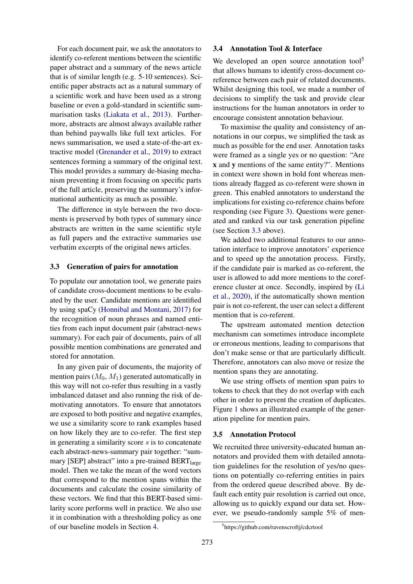For each document pair, we ask the annotators to identify co-referent mentions between the scientific paper abstract and a summary of the news article that is of similar length (e.g. 5-10 sentences). Scientific paper abstracts act as a natural summary of a scientific work and have been used as a strong baseline or even a gold-standard in scientific summarisation tasks [\(Liakata et al.,](#page-9-13) [2013\)](#page-9-13). Furthermore, abstracts are almost always available rather than behind paywalls like full text articles. For news summarisation, we used a state-of-the-art extractive model [\(Grenander et al.,](#page-9-14) [2019\)](#page-9-14) to extract sentences forming a summary of the original text. This model provides a summary de-biasing mechanism preventing it from focusing on specific parts of the full article, preserving the summary's informational authenticity as much as possible.

The difference in style between the two documents is preserved by both types of summary since abstracts are written in the same scientific style as full papers and the extractive summaries use verbatim excerpts of the original news articles.

#### <span id="page-3-1"></span>3.3 Generation of pairs for annotation

To populate our annotation tool, we generate pairs of candidate cross-document mentions to be evaluated by the user. Candidate mentions are identified by using spaCy [\(Honnibal and Montani,](#page-9-15) [2017\)](#page-9-15) for the recognition of noun phrases and named entities from each input document pair (abstract-news summary). For each pair of documents, pairs of all possible mention combinations are generated and stored for annotation.

In any given pair of documents, the majority of mention pairs  $(M_0, M_1)$  generated automatically in this way will not co-refer thus resulting in a vastly imbalanced dataset and also running the risk of demotivating annotators. To ensure that annotators are exposed to both positive and negative examples, we use a similarity score to rank examples based on how likely they are to co-refer. The first step in generating a similarity score  $s$  is to concatenate each abstract-news-summary pair together: "summary [SEP] abstract" into a pre-trained  $BERT_{\text{large}}$ model. Then we take the mean of the word vectors that correspond to the mention spans within the documents and calculate the cosine similarity of these vectors. We find that this BERT-based similarity score performs well in practice. We also use it in combination with a thresholding policy as one of our baseline models in Section [4.](#page-5-0)

# <span id="page-3-0"></span>3.4 Annotation Tool & Interface

We developed an open source annotation tool<sup>[5](#page-3-3)</sup> that allows humans to identify cross-document coreference between each pair of related documents. Whilst designing this tool, we made a number of decisions to simplify the task and provide clear instructions for the human annotators in order to encourage consistent annotation behaviour.

To maximise the quality and consistency of annotations in our corpus, we simplified the task as much as possible for the end user. Annotation tasks were framed as a single yes or no question: "Are x and y mentions of the same entity?". Mentions in context were shown in bold font whereas mentions already flagged as co-referent were shown in green. This enabled annotators to understand the implications for existing co-reference chains before responding (see Figure [3\)](#page-6-1). Questions were generated and ranked via our task generation pipeline (see Section [3.3](#page-3-1) above).

We added two additional features to our annotation interface to improve annotators' experience and to speed up the annotation process. Firstly, if the candidate pair is marked as co-referent, the user is allowed to add more mentions to the coreference cluster at once. Secondly, inspired by [\(Li](#page-9-16) [et al.,](#page-9-16) [2020\)](#page-9-16), if the automatically shown mention pair is not co-referent, the user can select a different mention that is co-referent.

The upstream automated mention detection mechanism can sometimes introduce incomplete or erroneous mentions, leading to comparisons that don't make sense or that are particularly difficult. Therefore, annotators can also move or resize the mention spans they are annotating.

We use string offsets of mention span pairs to tokens to check that they do not overlap with each other in order to prevent the creation of duplicates. Figure [1](#page-4-0) shows an illustrated example of the generation pipeline for mention pairs.

#### <span id="page-3-2"></span>3.5 Annotation Protocol

We recruited three university-educated human annotators and provided them with detailed annotation guidelines for the resolution of yes/no questions on potentially co-referring entities in pairs from the ordered queue described above. By default each entity pair resolution is carried out once, allowing us to quickly expand our data set. However, we pseudo-randomly sample 5% of men-

<span id="page-3-3"></span><sup>5</sup> https://github.com/ravenscroftj/cdcrtool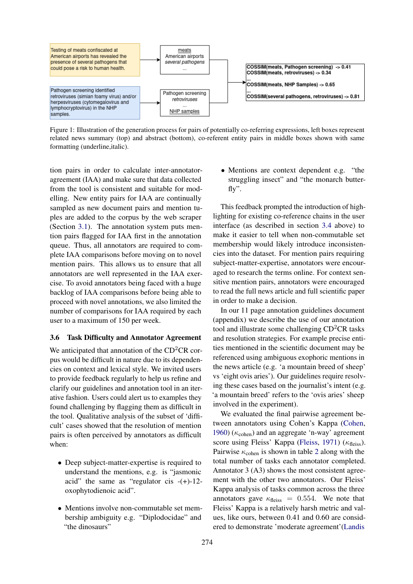<span id="page-4-0"></span>

Figure 1: Illustration of the generation process for pairs of potentially co-referring expressions, left boxes represent related news summary (top) and abstract (bottom), co-referent entity pairs in middle boxes shown with same formatting (underline,italic).

tion pairs in order to calculate inter-annotatoragreement (IAA) and make sure that data collected from the tool is consistent and suitable for modelling. New entity pairs for IAA are continually sampled as new document pairs and mention tuples are added to the corpus by the web scraper (Section [3.1\)](#page-2-0). The annotation system puts mention pairs flagged for IAA first in the annotation queue. Thus, all annotators are required to complete IAA comparisons before moving on to novel mention pairs. This allows us to ensure that all annotators are well represented in the IAA exercise. To avoid annotators being faced with a huge backlog of IAA comparisons before being able to proceed with novel annotations, we also limited the number of comparisons for IAA required by each user to a maximum of 150 per week.

# 3.6 Task Difficulty and Annotator Agreement

We anticipated that annotation of the  $CD<sup>2</sup>CR$  corpus would be difficult in nature due to its dependencies on context and lexical style. We invited users to provide feedback regularly to help us refine and clarify our guidelines and annotation tool in an iterative fashion. Users could alert us to examples they found challenging by flagging them as difficult in the tool. Qualitative analysis of the subset of 'difficult' cases showed that the resolution of mention pairs is often perceived by annotators as difficult when:

- Deep subject-matter-expertise is required to understand the mentions, e.g. is "jasmonic acid" the same as "regulator cis  $-(+)$ -12oxophytodienoic acid".
- Mentions involve non-commutable set membership ambiguity e.g. "Diplodocidae" and "the dinosaurs"

• Mentions are context dependent e.g. "the struggling insect" and "the monarch butterfly".

This feedback prompted the introduction of highlighting for existing co-reference chains in the user interface (as described in section [3.4](#page-3-0) above) to make it easier to tell when non-commutable set membership would likely introduce inconsistencies into the dataset. For mention pairs requiring subject-matter-expertise, annotators were encouraged to research the terms online. For context sensitive mention pairs, annotators were encouraged to read the full news article and full scientific paper in order to make a decision.

In our 11 page annotation guidelines document (appendix) we describe the use of our annotation tool and illustrate some challenging  $CD<sup>2</sup>CR$  tasks and resolution strategies. For example precise entities mentioned in the scientific document may be referenced using ambiguous exophoric mentions in the news article (e.g. 'a mountain breed of sheep' vs 'eight ovis aries'). Our guidelines require resolving these cases based on the journalist's intent (e.g. 'a mountain breed' refers to the 'ovis aries' sheep involved in the experiment).

We evaluated the final pairwise agreement between annotators using Cohen's Kappa [\(Cohen,](#page-9-17) [1960\)](#page-9-17) ( $\kappa_{\rm cohen}$ ) and an aggregate 'n-way' agreement score using Fleiss' Kappa [\(Fleiss,](#page-9-18) [1971\)](#page-9-18) ( $\kappa$ <sub>fleiss</sub>). Pairwise  $\kappa_{\text{cohen}}$  is shown in table [2](#page-5-1) along with the total number of tasks each annotator completed. Annotator 3 (A3) shows the most consistent agreement with the other two annotators. Our Fleiss' Kappa analysis of tasks common across the three annotators gave  $\kappa_{\text{fleiss}} = 0.554$ . We note that Fleiss' Kappa is a relatively harsh metric and values, like ours, between 0.41 and 0.60 are considered to demonstrate 'moderate agreement'[\(Landis](#page-9-19)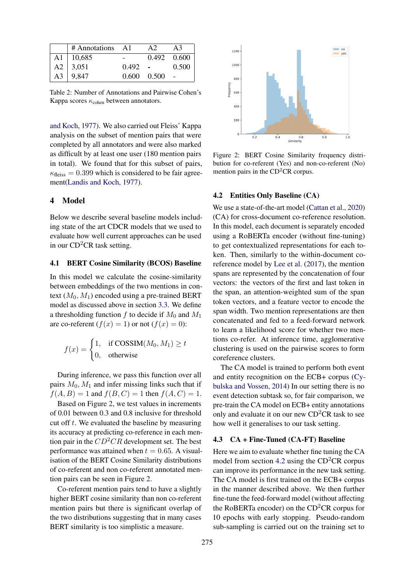<span id="page-5-1"></span>

| # Annotations A1 |       | A2              | A <sub>3</sub> |
|------------------|-------|-----------------|----------------|
| $A1 \mid 10,685$ |       | 0.492           | 0.600          |
| $A2 \mid 3,051$  | 0.492 | $\sim 10^{-10}$ | 0.500          |
| A3   9,847       | 0.600 | 0.500           |                |

Table 2: Number of Annotations and Pairwise Cohen's Kappa scores  $\kappa_{\rm cohen}$  between annotators.

[and Koch,](#page-9-19) [1977\)](#page-9-19). We also carried out Fleiss' Kappa analysis on the subset of mention pairs that were completed by all annotators and were also marked as difficult by at least one user (180 mention pairs in total). We found that for this subset of pairs,  $\kappa_{\text{fleiss}} = 0.399$  which is considered to be fair agreement[\(Landis and Koch,](#page-9-19) [1977\)](#page-9-19).

# <span id="page-5-0"></span>4 Model

Below we describe several baseline models including state of the art CDCR models that we used to evaluate how well current approaches can be used in our  $CD<sup>2</sup>CR$  task setting.

### 4.1 BERT Cosine Similarity (BCOS) Baseline

In this model we calculate the cosine-similarity between embeddings of the two mentions in context  $(M_0, M_1)$  encoded using a pre-trained BERT model as discussed above in section [3.3.](#page-3-1) We define a thresholding function f to decide if  $M_0$  and  $M_1$ are co-referent  $(f(x) = 1)$  or not  $(f(x) = 0)$ :

$$
f(x) = \begin{cases} 1, & \text{if COSSIM}(M_0, M_1) \ge t \\ 0, & \text{otherwise} \end{cases}
$$

During inference, we pass this function over all pairs  $M_0$ ,  $M_1$  and infer missing links such that if  $f(A, B) = 1$  and  $f(B, C) = 1$  then  $f(A, C) = 1$ .

Based on Figure [2,](#page-5-2) we test values in increments of 0.01 between 0.3 and 0.8 inclusive for threshold cut off  $t$ . We evaluated the baseline by measuring its accuracy at predicting co-reference in each mention pair in the  $CD<sup>2</sup>CR$  development set. The best performance was attained when  $t = 0.65$ . A visualisation of the BERT Cosine Similarity distributions of co-referent and non co-referent annotated mention pairs can be seen in Figure [2.](#page-5-2)

Co-referent mention pairs tend to have a slightly higher BERT cosine similarity than non co-referent mention pairs but there is significant overlap of the two distributions suggesting that in many cases BERT similarity is too simplistic a measure.

<span id="page-5-2"></span>

Figure 2: BERT Cosine Similarity frequency distribution for co-referent (Yes) and non-co-referent (No) mention pairs in the  $CD<sup>2</sup>CR$  corpus.

#### <span id="page-5-3"></span>4.2 Entities Only Baseline (CA)

We use a state-of-the-art model [\(Cattan et al.,](#page-9-2) [2020\)](#page-9-2) (CA) for cross-document co-reference resolution. In this model, each document is separately encoded using a RoBERTa encoder (without fine-tuning) to get contextualized representations for each token. Then, similarly to the within-document coreference model by [Lee et al.](#page-9-5) [\(2017\)](#page-9-5), the mention spans are represented by the concatenation of four vectors: the vectors of the first and last token in the span, an attention-weighted sum of the span token vectors, and a feature vector to encode the span width. Two mention representations are then concatenated and fed to a feed-forward network to learn a likelihood score for whether two mentions co-refer. At inference time, agglomerative clustering is used on the pairwise scores to form coreference clusters.

The CA model is trained to perform both event and entity recognition on the ECB+ corpus [\(Cy](#page-9-8)[bulska and Vossen,](#page-9-8) [2014\)](#page-9-8) In our setting there is no event detection subtask so, for fair comparison, we pre-train the CA model on ECB+ entity annotations only and evaluate it on our new  $CD<sup>2</sup>CR$  task to see how well it generalises to our task setting.

#### 4.3 CA + Fine-Tuned (CA-FT) Baseline

Here we aim to evaluate whether fine tuning the CA model from section [4.2](#page-5-3) using the  $CD<sup>2</sup>CR$  corpus can improve its performance in the new task setting. The CA model is first trained on the ECB+ corpus in the manner described above. We then further fine-tune the feed-forward model (without affecting the RoBERTa encoder) on the  $CD<sup>2</sup>CR$  corpus for 10 epochs with early stopping. Pseudo-random sub-sampling is carried out on the training set to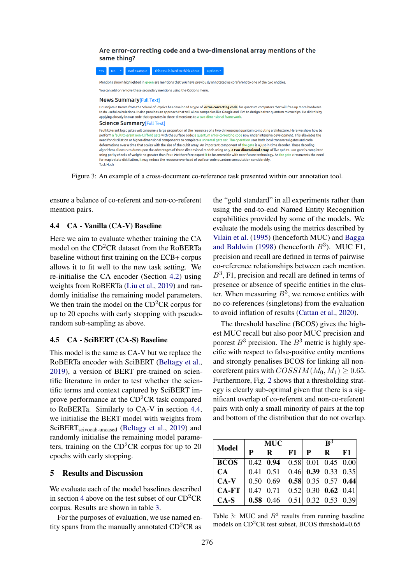#### <span id="page-6-1"></span>Are error-correcting code and a two-dimensional array mentions of the same thing?



Figure 3: An example of a cross-document co-reference task presented within our annotation tool.

ensure a balance of co-referent and non-co-referent mention pairs.

## <span id="page-6-2"></span>4.4 CA - Vanilla (CA-V) Baseline

Here we aim to evaluate whether training the CA model on the CD<sup>2</sup>CR dataset from the RoBERTa baseline without first training on the ECB+ corpus allows it to fit well to the new task setting. We re-initialise the CA encoder (Section [4.2\)](#page-5-3) using weights from RoBERTa [\(Liu et al.,](#page-10-13) [2019\)](#page-10-13) and randomly initialise the remaining model parameters. We then train the model on the  $CD<sup>2</sup>CR$  corpus for up to 20 epochs with early stopping with pseudorandom sub-sampling as above.

# 4.5 CA - SciBERT (CA-S) Baseline

This model is the same as CA-V but we replace the RoBERTa encoder with SciBERT [\(Beltagy et al.,](#page-9-20) [2019\)](#page-9-20), a version of BERT pre-trained on scientific literature in order to test whether the scientific terms and context captured by SciBERT improve performance at the  $CD<sup>2</sup>CR$  task compared to RoBERTa. Similarly to CA-V in section [4.4,](#page-6-2) we initialise the BERT model with weights from SciBERT<sub>scivocab-uncased</sub> [\(Beltagy et al.,](#page-9-20) [2019\)](#page-9-20) and randomly initialise the remaining model parameters, training on the  $CD<sup>2</sup>CR$  corpus for up to 20 epochs with early stopping.

### 5 Results and Discussion

We evaluate each of the model baselines described in section [4](#page-5-0) above on the test subset of our  $CD<sup>2</sup>CR$ corpus. Results are shown in table [3.](#page-6-0)

For the purposes of evaluation, we use named entity spans from the manually annotated  $CD<sup>2</sup>CR$  as

the "gold standard" in all experiments rather than using the end-to-end Named Entity Recognition capabilities provided by some of the models. We evaluate the models using the metrics described by [Vilain et al.](#page-10-14) [\(1995\)](#page-10-14) (henceforth MUC) and [Bagga](#page-9-7) [and Baldwin](#page-9-7) [\(1998\)](#page-9-7) (henceforth  $B^3$ ). MUC F1, precision and recall are defined in terms of pairwise co-reference relationships between each mention.  $B<sup>3</sup>$ , F1, precision and recall are defined in terms of presence or absence of specific entities in the cluster. When measuring  $B^3$ , we remove entities with no co-references (singletons) from the evaluation to avoid inflation of results [\(Cattan et al.,](#page-9-2) [2020\)](#page-9-2).

The threshold baseline (BCOS) gives the highest MUC recall but also poor MUC precision and poorest  $B^3$  precision. The  $B^3$  metric is highly specific with respect to false-positive entity mentions and strongly penalises BCOS for linking all noncoreferent pairs with  $COSSIM(M_0, M_1) \geq 0.65$ . Furthermore, Fig. [2](#page-5-2) shows that a thresholding strategy is clearly sub-optimal given that there is a significant overlap of co-referent and non-co-referent pairs with only a small minority of pairs at the top and bottom of the distribution that do not overlap.

<span id="page-6-0"></span>

| <b>Model</b> | <b>MUC</b> |                                           |  | $\mathbf{R}^3$ |  |      |
|--------------|------------|-------------------------------------------|--|----------------|--|------|
|              | P          | $\mathbf{R}$                              |  | $F1$   P R     |  | - F1 |
| <b>BCOS</b>  |            | $0.42$ 0.94 0.58 0.01 0.45 0.00           |  |                |  |      |
| CA           |            | $0.41$ $0.51$ $0.46$ $0.39$ $0.33$ $0.35$ |  |                |  |      |
| $CA-V$       |            | $0.50$ $0.69$ $0.58$ $0.35$ $0.57$ $0.44$ |  |                |  |      |
| <b>CA-FT</b> |            | $0.47$ 0.71 0.52 0.30 0.62 0.41           |  |                |  |      |
| $CA-S$       |            | <b>0.58</b> 0.46 0.51 0.32 0.53 0.39      |  |                |  |      |

Table 3: MUC and  $B<sup>3</sup>$  results from running baseline models on  $CD<sup>2</sup>CR$  test subset, BCOS threshold=0.65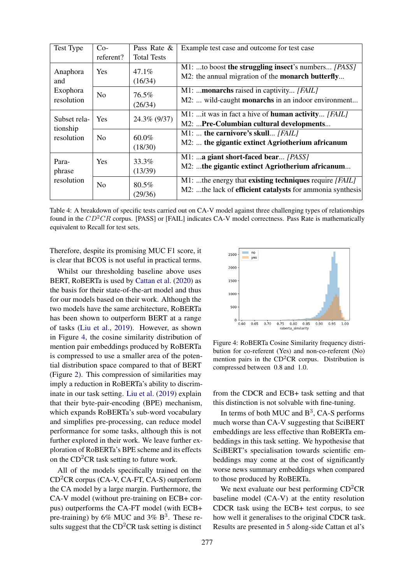<span id="page-7-1"></span>

| Test Type                                 | $Co-$          | Pass Rate &         | Example test case and outcome for test case                                                                         |  |  |
|-------------------------------------------|----------------|---------------------|---------------------------------------------------------------------------------------------------------------------|--|--|
|                                           | referent?      | <b>Total Tests</b>  |                                                                                                                     |  |  |
| Anaphora<br>and<br>Exophora<br>resolution | <b>Yes</b>     | $47.1\%$<br>(16/34) | M1: to boost the struggling insect's numbers [PASS]<br>M2: the annual migration of the <b>monarch butterfly</b>     |  |  |
|                                           | N <sub>0</sub> | 76.5%<br>(26/34)    | M1: monarchs raised in captivity [FAIL]<br>M2:  wild-caught <b>monarchs</b> in an indoor environment                |  |  |
| Subset rela-<br>tionship<br>resolution    | <b>Yes</b>     | 24.3% (9/37)        | M1:  it was in fact a hive of <b>human activity</b> [FAIL]<br>M2: Pre-Columbian cultural developments               |  |  |
|                                           | N <sub>0</sub> | $60.0\%$<br>(18/30) | M1:  the carnivore's skull [FAIL]<br>M2:  the gigantic extinct Agriotherium africanum                               |  |  |
| Para-<br>phrase<br>resolution             | <b>Yes</b>     | 33.3%<br>(13/39)    | M1: a giant short-faced bear [PASS]<br>M2: the gigantic extinct Agriotherium africanum                              |  |  |
|                                           | N <sub>0</sub> | $80.5\%$<br>(29/36) | M1: the energy that existing techniques require [FAIL]<br>M2: the lack of efficient catalysts for ammonia synthesis |  |  |

Table 4: A breakdown of specific tests carried out on CA-V model against three challenging types of relationships found in the  $CD<sup>2</sup>CR$  corpus. [PASS] or [FAIL] indicates CA-V model correctness. Pass Rate is mathematically equivalent to Recall for test sets.

Therefore, despite its promising MUC F1 score, it is clear that BCOS is not useful in practical terms.

Whilst our thresholding baseline above uses BERT, RoBERTa is used by [Cattan et al.](#page-9-2) [\(2020\)](#page-9-2) as the basis for their state-of-the-art model and thus for our models based on their work. Although the two models have the same architecture, RoBERTa has been shown to outperform BERT at a range of tasks [\(Liu et al.,](#page-10-13) [2019\)](#page-10-13). However, as shown in Figure [4,](#page-7-0) the cosine similarity distribution of mention pair embeddings produced by RoBERTa is compressed to use a smaller area of the potential distribution space compared to that of BERT (Figure [2\)](#page-5-2). This compression of similarities may imply a reduction in RoBERTa's ability to discriminate in our task setting. [Liu et al.](#page-10-13) [\(2019\)](#page-10-13) explain that their byte-pair-encoding (BPE) mechanism, which expands RoBERTa's sub-word vocabulary and simplifies pre-processing, can reduce model performance for some tasks, although this is not further explored in their work. We leave further exploration of RoBERTa's BPE scheme and its effects on the  $CD<sup>2</sup>CR$  task setting to future work.

All of the models specifically trained on the  $CD<sup>2</sup>CR$  corpus (CA-V, CA-FT, CA-S) outperform the CA model by a large margin. Furthermore, the CA-V model (without pre-training on ECB+ corpus) outperforms the CA-FT model (with ECB+ pre-training) by  $6\%$  MUC and  $3\%$  B<sup>3</sup>. These results suggest that the  $CD<sup>2</sup>CR$  task setting is distinct

<span id="page-7-0"></span>

Figure 4: RoBERTa Cosine Similarity frequency distribution for co-referent (Yes) and non-co-referent (No) mention pairs in the  $CD<sup>2</sup>CR$  corpus. Distribution is compressed between 0.8 and 1.0.

from the CDCR and ECB+ task setting and that this distinction is not solvable with fine-tuning.

In terms of both MUC and  $B^3$ , CA-S performs much worse than CA-V suggesting that SciBERT embeddings are less effective than RoBERTa embeddings in this task setting. We hypothesise that SciBERT's specialisation towards scientific embeddings may come at the cost of significantly worse news summary embeddings when compared to those produced by RoBERTa.

We next evaluate our best performing  $CD<sup>2</sup>CR$ baseline model (CA-V) at the entity resolution CDCR task using the ECB+ test corpus, to see how well it generalises to the original CDCR task. Results are presented in [5](#page-8-0) along-side Cattan et al's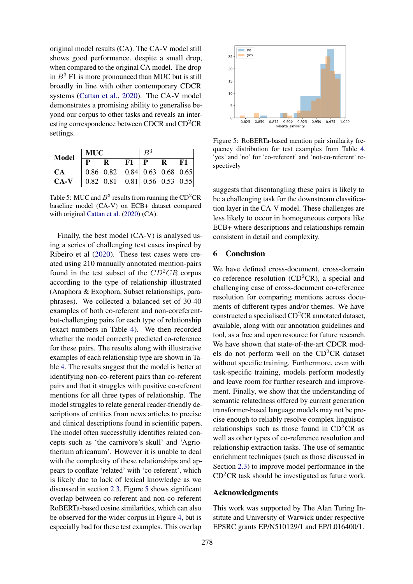original model results (CA). The CA-V model still shows good performance, despite a small drop, when compared to the original CA model. The drop in  $B<sup>3</sup>$  F1 is more pronounced than MUC but is still broadly in line with other contemporary CDCR systems [\(Cattan et al.,](#page-9-2) [2020\)](#page-9-2). The CA-V model demonstrates a promising ability to generalise beyond our corpus to other tasks and reveals an interesting correspondence between CDCR and CD<sup>2</sup>CR settings.

<span id="page-8-0"></span>

| <b>Model</b> | <b>MUC</b> |                                 |    | $R^3$        |             |      |
|--------------|------------|---------------------------------|----|--------------|-------------|------|
|              |            | $\mathbf{R}$                    | F1 | $\mathbf{P}$ | $\mathbf R$ | - F1 |
| <b>CA</b>    |            | $0.86$ 0.82 0.84 0.63 0.68 0.65 |    |              |             |      |
| $CA-V$       |            | $0.82$ 0.81 0.81 0.56 0.53 0.55 |    |              |             |      |

Table 5: MUC and  $B^3$  results from running the CD<sup>2</sup>CR baseline model (CA-V) on ECB+ dataset compared with original [Cattan et al.](#page-9-2) [\(2020\)](#page-9-2) (CA).

Finally, the best model (CA-V) is analysed using a series of challenging test cases inspired by Ribeiro et al [\(2020\)](#page-10-15). These test cases were created using 210 manually annotated mention-pairs found in the test subset of the  $CD<sup>2</sup>CR$  corpus according to the type of relationship illustrated (Anaphora & Exophora, Subset relationships, paraphrases). We collected a balanced set of 30-40 examples of both co-referent and non-coreferentbut-challenging pairs for each type of relationship (exact numbers in Table [4\)](#page-7-1). We then recorded whether the model correctly predicted co-reference for these pairs. The results along with illustrative examples of each relationship type are shown in Table [4.](#page-7-1) The results suggest that the model is better at identifying non-co-referent pairs than co-referent pairs and that it struggles with positive co-referent mentions for all three types of relationship. The model struggles to relate general reader-friendly descriptions of entities from news articles to precise and clinical descriptions found in scientific papers. The model often successfully identifies related concepts such as 'the carnivore's skull' and 'Agriotherium africanum'. However it is unable to deal with the complexity of these relationships and appears to conflate 'related' with 'co-referent', which is likely due to lack of lexical knowledge as we discussed in section [2.3.](#page-2-3) Figure [5](#page-8-1) shows significant overlap between co-referent and non-co-referent RoBERTa-based cosine similarities, which can also be observed for the wider corpus in Figure [4,](#page-7-0) but is especially bad for these test examples. This overlap

<span id="page-8-1"></span>

Figure 5: RoBERTa-based mention pair similarity frequency distribution for test examples from Table [4.](#page-7-1) 'yes' and 'no' for 'co-referent' and 'not-co-referent' respectively

suggests that disentangling these pairs is likely to be a challenging task for the downstream classification layer in the CA-V model. These challenges are less likely to occur in homogeneous corpora like ECB+ where descriptions and relationships remain consistent in detail and complexity.

# 6 Conclusion

We have defined cross-document, cross-domain co-reference resolution  $(CD<sup>2</sup>CR)$ , a special and challenging case of cross-document co-reference resolution for comparing mentions across documents of different types and/or themes. We have constructed a specialised  $CD<sup>2</sup>CR$  annotated dataset, available, along with our annotation guidelines and tool, as a free and open resource for future research. We have shown that state-of-the-art CDCR models do not perform well on the  $CD<sup>2</sup>CR$  dataset without specific training. Furthermore, even with task-specific training, models perform modestly and leave room for further research and improvement. Finally, we show that the understanding of semantic relatedness offered by current generation transformer-based language models may not be precise enough to reliably resolve complex linguistic relationships such as those found in  $CD<sup>2</sup>CR$  as well as other types of co-reference resolution and relationship extraction tasks. The use of semantic enrichment techniques (such as those discussed in Section [2.3\)](#page-2-3) to improve model performance in the  $CD<sup>2</sup>CR$  task should be investigated as future work.

# Acknowledgments

This work was supported by The Alan Turing Institute and University of Warwick under respective EPSRC grants EP/N510129/1 and EP/L016400/1.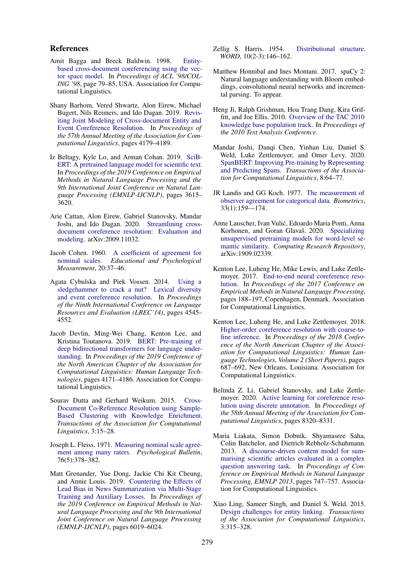## References

- <span id="page-9-7"></span>Amit Bagga and Breck Baldwin. 1998. [Entity](https://doi.org/10.3115/980845.980859)[based cross-document coreferencing using the vec](https://doi.org/10.3115/980845.980859)[tor space model.](https://doi.org/10.3115/980845.980859) In *Proceedings of ACL '98/COL-ING '98*, page 79–85, USA. Association for Computational Linguistics.
- <span id="page-9-1"></span>Shany Barhom, Vered Shwartz, Alon Eirew, Michael Bugert, Nils Reimers, and Ido Dagan. 2019. [Revis](https://doi.org/10.18653/v1/P19-1409)[iting Joint Modeling of Cross-document Entity and](https://doi.org/10.18653/v1/P19-1409) [Event Coreference Resolution.](https://doi.org/10.18653/v1/P19-1409) In *Proceedings of the 57th Annual Meeting of the Association for Computational Linguistics*, pages 4179–4189.
- <span id="page-9-20"></span>Iz Beltagy, Kyle Lo, and Arman Cohan. 2019. [SciB-](https://doi.org/10.18653/v1/D19-1371)[ERT: A pretrained language model for scientific text.](https://doi.org/10.18653/v1/D19-1371) In *Proceedings of the 2019 Conference on Empirical Methods in Natural Language Processing and the 9th International Joint Conference on Natural Language Processing (EMNLP-IJCNLP)*, pages 3615– 3620.
- <span id="page-9-2"></span>Arie Cattan, Alon Eirew, Gabriel Stanovsky, Mandar Joshi, and Ido Dagan. 2020. [Streamlining cross](http://arxiv.org/abs/2009.11032)[document coreference resolution: Evaluation and](http://arxiv.org/abs/2009.11032) [modeling.](http://arxiv.org/abs/2009.11032) arXiv:2009.11032.
- <span id="page-9-17"></span>Jacob Cohen. 1960. [A coefficient of agreement for](https://doi.org/10.1177/001316446002000104) [nominal scales.](https://doi.org/10.1177/001316446002000104) *Educational and Psychological Measurement*, 20:37–46.
- <span id="page-9-8"></span>Agata Cybulska and Piek Vossen. 2014. [Using a](http://www.lrec-conf.org/proceedings/lrec2014/pdf/840_Paper.pdf) [sledgehammer to crack a nut? Lexical diversity](http://www.lrec-conf.org/proceedings/lrec2014/pdf/840_Paper.pdf) [and event coreference resolution.](http://www.lrec-conf.org/proceedings/lrec2014/pdf/840_Paper.pdf) In *Proceedings of the Ninth International Conference on Language Resources and Evaluation (LREC'14)*, pages 4545– 4552.
- <span id="page-9-3"></span>Jacob Devlin, Ming-Wei Chang, Kenton Lee, and Kristina Toutanova. 2019. [BERT: Pre-training of](https://doi.org/10.18653/v1/N19-1423) [deep bidirectional transformers for language under](https://doi.org/10.18653/v1/N19-1423)[standing.](https://doi.org/10.18653/v1/N19-1423) In *Proceedings of the 2019 Conference of the North American Chapter of the Association for Computational Linguistics: Human Language Technologies*, pages 4171–4186. Association for Computational Linguistics.
- <span id="page-9-0"></span>Sourav Dutta and Gerhard Weikum. 2015. [Cross-](https://doi.org/10.1162/tacl_a_00119)[Document Co-Reference Resolution using Sample-](https://doi.org/10.1162/tacl_a_00119)[Based Clustering with Knowledge Enrichment.](https://doi.org/10.1162/tacl_a_00119) *Transactions of the Association for Computational Linguistics*, 3:15–28.
- <span id="page-9-18"></span>Joseph L. Fleiss. 1971. [Measuring nominal scale agree](https://doi.org/10.1037/h0031619)[ment among many raters.](https://doi.org/10.1037/h0031619) *Psychological Bulletin*, 76(5):378–382.
- <span id="page-9-14"></span>Matt Grenander, Yue Dong, Jackie Chi Kit Cheung, and Annie Louis. 2019. [Countering the Effects of](https://doi.org/10.18653/v1/D19-1620) [Lead Bias in News Summarization via Multi-Stage](https://doi.org/10.18653/v1/D19-1620) [Training and Auxiliary Losses.](https://doi.org/10.18653/v1/D19-1620) In *Proceedings of the 2019 Conference on Empirical Methods in Natural Language Processing and the 9th International Joint Conference on Natural Language Processing (EMNLP-IJCNLP)*, pages 6019–6024.
- <span id="page-9-11"></span>Zellig S. Harris. 1954. [Distributional structure.](https://doi.org/10.1080/00437956.1954.11659520) *WORD*, 10(2-3):146–162.
- <span id="page-9-15"></span>Matthew Honnibal and Ines Montani. 2017. spaCy 2: Natural language understanding with Bloom embeddings, convolutional neural networks and incremental parsing. To appear.
- <span id="page-9-9"></span>Heng Ji, Ralph Grishman, Hoa Trang Dang, Kira Griffitt, and Joe Ellis. 2010. [Overview of the TAC 2010](https://doi.org/10.1.1.357.1854) [knowledge base population track.](https://doi.org/10.1.1.357.1854) In *Proceedings of the 2010 Text Analysis Conference*.
- <span id="page-9-4"></span>Mandar Joshi, Danqi Chen, Yinhan Liu, Daniel S. Weld, Luke Zettlemoyer, and Omer Levy. 2020. [SpanBERT: Improving Pre-training by Representing](https://doi.org/10.1162/tacl_a_00300) [and Predicting Spans.](https://doi.org/10.1162/tacl_a_00300) *Transactions of the Association for Computational Linguistics*, 8:64–77.
- <span id="page-9-19"></span>JR Landis and GG Koch. 1977. [The measurement of](https://doi.org/10.2307/2529310) [observer agreement for categorical data.](https://doi.org/10.2307/2529310) *Biometrics*, 33(1):159—174.
- <span id="page-9-12"></span>Anne Lauscher, Ivan Vulic, Edoardo Maria Ponti, Anna ´ Korhonen, and Goran Glavaš. 2020. [Specializing](http://arxiv.org/abs/1909.02339) [unsupervised pretraining models for word-level se](http://arxiv.org/abs/1909.02339)[mantic similarity.](http://arxiv.org/abs/1909.02339) *Computing Research Repository*, arXiv:1909.02339.
- <span id="page-9-5"></span>Kenton Lee, Luheng He, Mike Lewis, and Luke Zettlemoyer. 2017. [End-to-end neural coreference reso](https://doi.org/10.18653/v1/D17-1018)[lution.](https://doi.org/10.18653/v1/D17-1018) In *Proceedings of the 2017 Conference on Empirical Methods in Natural Language Processing*, pages 188–197, Copenhagen, Denmark. Association for Computational Linguistics.
- <span id="page-9-6"></span>Kenton Lee, Luheng He, and Luke Zettlemoyer. 2018. [Higher-order coreference resolution with coarse-to](https://doi.org/10.18653/v1/N18-2108)[fine inference.](https://doi.org/10.18653/v1/N18-2108) In *Proceedings of the 2018 Conference of the North American Chapter of the Association for Computational Linguistics: Human Language Technologies, Volume 2 (Short Papers)*, pages 687–692, New Orleans, Louisiana. Association for Computational Linguistics.
- <span id="page-9-16"></span>Belinda Z. Li, Gabriel Stanovsky, and Luke Zettlemoyer. 2020. [Active learning for coreference reso](https://doi.org/10.18653/v1/2020.acl-main.738)[lution using discrete annotation.](https://doi.org/10.18653/v1/2020.acl-main.738) In *Proceedings of the 58th Annual Meeting of the Association for Computational Linguistics*, pages 8320–8331.
- <span id="page-9-13"></span>Maria Liakata, Simon Dobnik, Shyamasree Saha, Colin Batchelor, and Dietrich Rebholz-Schuhmann. 2013. [A discourse-driven content model for sum](http://www.sapientaproject.com/software.)[marising scientific articles evaluated in a complex](http://www.sapientaproject.com/software.) [question answering task.](http://www.sapientaproject.com/software.) In *Proceedings of Conference on Empirical Methods in Natural Language Processing, EMNLP 2013*, pages 747–757. Association for Computational Linguistics.
- <span id="page-9-10"></span>Xiao Ling, Sameer Singh, and Daniel S. Weld. 2015. [Design challenges for entity linking.](https://doi.org/10.1162/tacl_a_00141) *Transactions of the Association for Computational Linguistics*, 3:315–328.